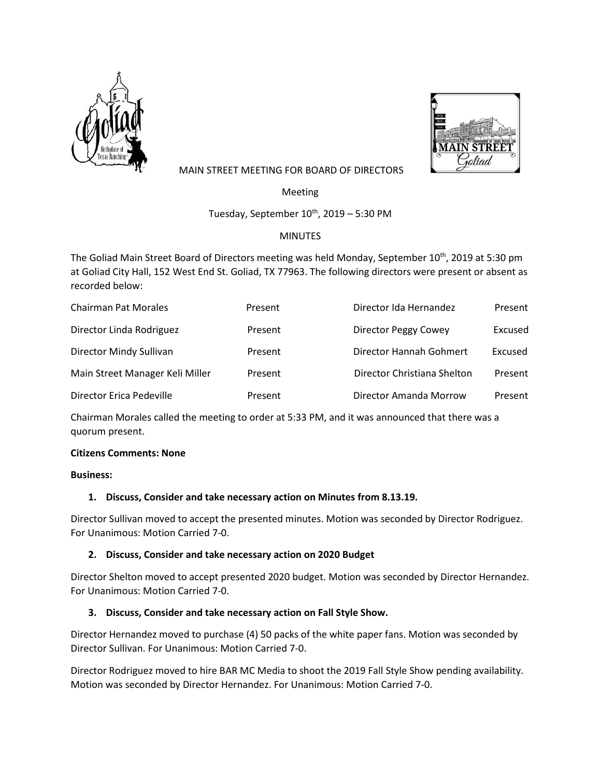



# MAIN STREET MEETING FOR BOARD OF DIRECTORS

Meeting

Tuesday, September  $10^{th}$ , 2019 – 5:30 PM

# MINUTES

The Goliad Main Street Board of Directors meeting was held Monday, September 10<sup>th</sup>, 2019 at 5:30 pm at Goliad City Hall, 152 West End St. Goliad, TX 77963. The following directors were present or absent as recorded below:

| <b>Chairman Pat Morales</b>     | Present | Director Ida Hernandez      | Present |
|---------------------------------|---------|-----------------------------|---------|
| Director Linda Rodriguez        | Present | Director Peggy Cowey        | Excused |
| Director Mindy Sullivan         | Present | Director Hannah Gohmert     | Excused |
| Main Street Manager Keli Miller | Present | Director Christiana Shelton | Present |
| Director Erica Pedeville        | Present | Director Amanda Morrow      | Present |

Chairman Morales called the meeting to order at 5:33 PM, and it was announced that there was a quorum present.

# **Citizens Comments: None**

### **Business:**

# **1. Discuss, Consider and take necessary action on Minutes from 8.13.19.**

Director Sullivan moved to accept the presented minutes. Motion was seconded by Director Rodriguez. For Unanimous: Motion Carried 7-0.

# **2. Discuss, Consider and take necessary action on 2020 Budget**

Director Shelton moved to accept presented 2020 budget. Motion was seconded by Director Hernandez. For Unanimous: Motion Carried 7-0.

# **3. Discuss, Consider and take necessary action on Fall Style Show.**

Director Hernandez moved to purchase (4) 50 packs of the white paper fans. Motion was seconded by Director Sullivan. For Unanimous: Motion Carried 7-0.

Director Rodriguez moved to hire BAR MC Media to shoot the 2019 Fall Style Show pending availability. Motion was seconded by Director Hernandez. For Unanimous: Motion Carried 7-0.